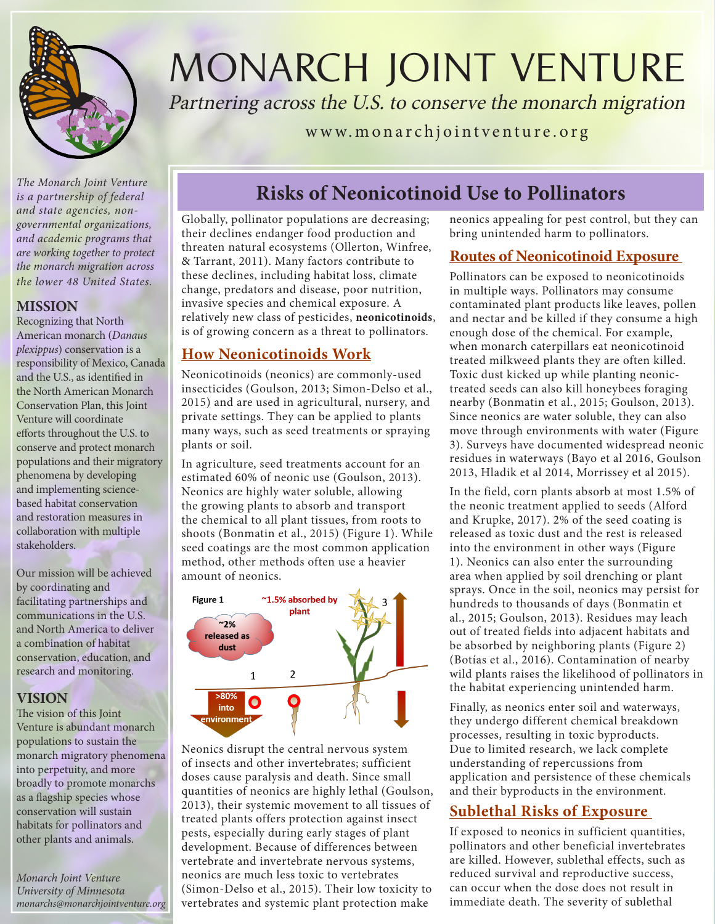

MONARCH JOINT VENTURE

Partnering across the U.S. to conserve the monarch migration

www.monarchjointventure.org

*is a partnership of federal and state agencies, nongovernmental organizations, and academic programs that are working together to protect the monarch migration across the lower 48 United States.* 

#### **MISSION**

Recognizing that North American monarch (*Danaus plexippus*) conservation is a responsibility of Mexico, Canada and the U.S., as identified in the North American Monarch Conservation Plan, this Joint Venture will coordinate efforts throughout the U.S. to conserve and protect monarch populations and their migratory phenomena by developing and implementing sciencebased habitat conservation and restoration measures in collaboration with multiple stakeholders.

Our mission will be achieved by coordinating and facilitating partnerships and communications in the U.S. and North America to deliver a combination of habitat conservation, education, and research and monitoring.

#### **VISION**

The vision of this Joint Venture is abundant monarch populations to sustain the monarch migratory phenomena into perpetuity, and more broadly to promote monarchs as a flagship species whose conservation will sustain habitats for pollinators and other plants and animals.

*Monarch Joint Venture University of Minnesota monarchs@monarchjointventure.org*

# **Risks of Neonicotinoid Use to Pollinators** *The Monarch Joint Venture*

Globally, pollinator populations are decreasing; their declines endanger food production and threaten natural ecosystems (Ollerton, Winfree, & Tarrant, 2011). Many factors contribute to these declines, including habitat loss, climate change, predators and disease, poor nutrition, invasive species and chemical exposure. A relatively new class of pesticides, **neonicotinoids**, is of growing concern as a threat to pollinators.

#### **How Neonicotinoids Work**

Neonicotinoids (neonics) are commonly-used insecticides (Goulson, 2013; Simon-Delso et al., 2015) and are used in agricultural, nursery, and private settings. They can be applied to plants many ways, such as seed treatments or spraying plants or soil.

In agriculture, seed treatments account for an estimated 60% of neonic use (Goulson, 2013). Neonics are highly water soluble, allowing the growing plants to absorb and transport the chemical to all plant tissues, from roots to shoots (Bonmatin et al., 2015) (Figure 1). While seed coatings are the most common application method, other methods often use a heavier amount of neonics.



Neonics disrupt the central nervous system of insects and other invertebrates; sufficient doses cause paralysis and death. Since small quantities of neonics are highly lethal (Goulson, 2013), their systemic movement to all tissues of treated plants offers protection against insect pests, especially during early stages of plant development. Because of differences between vertebrate and invertebrate nervous systems, neonics are much less toxic to vertebrates (Simon-Delso et al., 2015). Their low toxicity to vertebrates and systemic plant protection make

neonics appealing for pest control, but they can bring unintended harm to pollinators.

#### **Routes of Neonicotinoid Exposure**

Pollinators can be exposed to neonicotinoids in multiple ways. Pollinators may consume contaminated plant products like leaves, pollen and nectar and be killed if they consume a high enough dose of the chemical. For example, when monarch caterpillars eat neonicotinoid treated milkweed plants they are often killed. Toxic dust kicked up while planting neonictreated seeds can also kill honeybees foraging nearby (Bonmatin et al., 2015; Goulson, 2013). Since neonics are water soluble, they can also move through environments with water (Figure 3). Surveys have documented widespread neonic residues in waterways (Bayo et al 2016, Goulson 2013, Hladik et al 2014, Morrissey et al 2015).

In the field, corn plants absorb at most 1.5% of the neonic treatment applied to seeds (Alford and Krupke, 2017). 2% of the seed coating is released as toxic dust and the rest is released into the environment in other ways (Figure 1). Neonics can also enter the surrounding area when applied by soil drenching or plant sprays. Once in the soil, neonics may persist for hundreds to thousands of days (Bonmatin et al., 2015; Goulson, 2013). Residues may leach out of treated fields into adjacent habitats and be absorbed by neighboring plants (Figure 2) (Botías et al., 2016). Contamination of nearby wild plants raises the likelihood of pollinators in the habitat experiencing unintended harm.

Finally, as neonics enter soil and waterways, they undergo different chemical breakdown processes, resulting in toxic byproducts. Due to limited research, we lack complete understanding of repercussions from application and persistence of these chemicals and their byproducts in the environment.

#### **Sublethal Risks of Exposure**

If exposed to neonics in sufficient quantities, pollinators and other beneficial invertebrates are killed. However, sublethal effects, such as reduced survival and reproductive success, can occur when the dose does not result in immediate death. The severity of sublethal